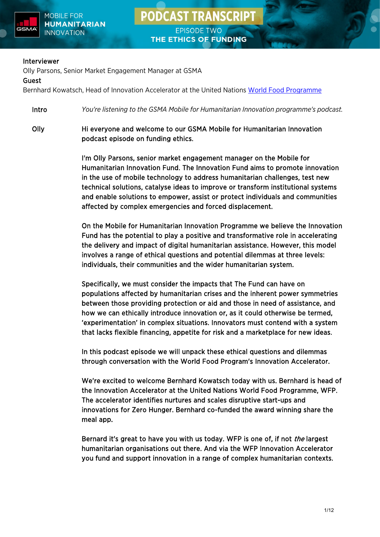

**EPISODE TWO** THE ETHICS OF FUNDING

### Interviewer

Olly Parsons, Senior Market Engagement Manager at GSMA

### Guest

Bernhard Kowatsch, Head of Innovation Accelerator at the United Nations [World Food Programme](https://www.wfp.org/)

Intro *You're listening to the GSMA Mobile for Humanitarian Innovation programme's podcast.*

Olly Hi everyone and welcome to our GSMA Mobile for Humanitarian Innovation podcast episode on funding ethics.

> I'm Olly Parsons, senior market engagement manager on the Mobile for Humanitarian Innovation Fund. The Innovation Fund aims to promote innovation in the use of mobile technology to address humanitarian challenges, test new technical solutions, catalyse ideas to improve or transform institutional systems and enable solutions to empower, assist or protect individuals and communities affected by complex emergencies and forced displacement.

 On the Mobile for Humanitarian Innovation Programme we believe the Innovation Fund has the potential to play a positive and transformative role in accelerating the delivery and impact of digital humanitarian assistance. However, this model involves a range of ethical questions and potential dilemmas at three levels: individuals, their communities and the wider humanitarian system.

Specifically, we must consider the impacts that The Fund can have on populations affected by humanitarian crises and the inherent power symmetries between those providing protection or aid and those in need of assistance, and how we can ethically introduce innovation or, as it could otherwise be termed, 'experimentation' in complex situations. Innovators must contend with a system that lacks flexible financing, appetite for risk and a marketplace for new ideas.

In this podcast episode we will unpack these ethical questions and dilemmas through conversation with the World Food Program's Innovation Accelerator.

We're excited to welcome Bernhard Kowatsch today with us. Bernhard is head of the Innovation Accelerator at the United Nations World Food Programme, WFP. The accelerator identifies nurtures and scales disruptive start-ups and innovations for Zero Hunger. Bernhard co-funded the award winning share the meal app.

Bernard it's great to have you with us today. WFP is one of, if not the largest humanitarian organisations out there. And via the WFP Innovation Accelerator you fund and support innovation in a range of complex humanitarian contexts.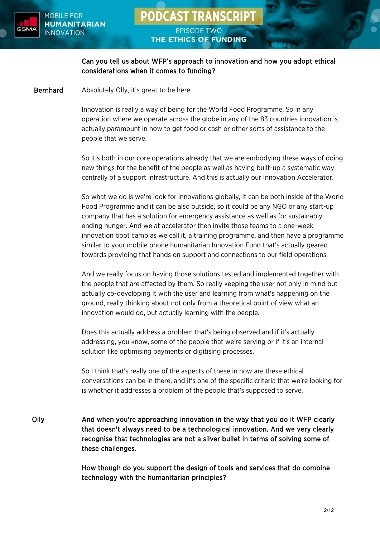

**EPISODE TWO** THE ETHICS OF FUNDING

## Can you tell us about WFP's approach to innovation and how you adopt ethical considerations when it comes to funding?

## Bernhard Absolutely Olly, it's great to be here.

Innovation is really a way of being for the World Food Programme. So in any operation where we operate across the globe in any of the 83 countries innovation is actually paramount in how to get food or cash or other sorts of assistance to the people that we serve.

So it's both in our core operations already that we are embodying these ways of doing new things for the benefit of the people as well as having built-up a systematic way centrally of a support infrastructure. And this is actually our Innovation Accelerator.

So what we do is we're look for innovations globally, it can be both inside of the World Food Programme and it can be also outside, so it could be any NGO or any start-up company that has a solution for emergency assistance as well as for sustainably ending hunger. And we at accelerator then invite those teams to a one-week innovation boot camp as we call it, a training programme, and then have a programme similar to your mobile phone humanitarian Innovation Fund that's actually geared towards providing that hands on support and connections to our field operations.

And we really focus on having those solutions tested and implemented together with the people that are affected by them. So really keeping the user not only in mind but actually co-developing it with the user and learning from what's happening on the ground, really thinking about not only from a theoretical point of view what an innovation would do, but actually learning with the people.

 Does this actually address a problem that's being observed and if it's actually addressing, you know, some of the people that we're serving or if it's an internal solution like optimising payments or digitising processes.

So I think that's really one of the aspects of these in how are these ethical conversations can be in there, and it's one of the specific criteria that we're looking for is whether it addresses a problem of the people that's supposed to serve.

Olly And when you're approaching innovation in the way that you do it WFP clearly that doesn't always need to be a technological innovation. And we very clearly recognise that technologies are not a silver bullet in terms of solving some of these challenges.

> How though do you support the design of tools and services that do combine technology with the humanitarian principles?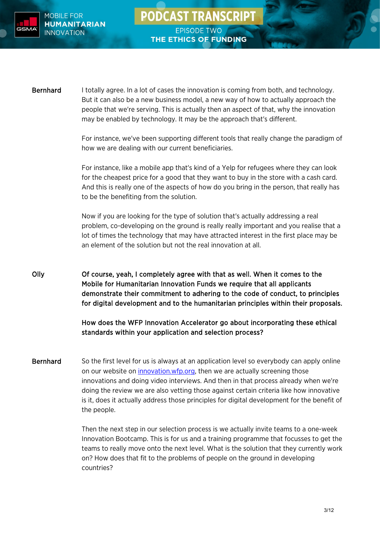

## **PODCAST TRANSCRIPT EPISODE TWO**

## THE ETHICS OF FUNDING

Bernhard I totally agree. In a lot of cases the innovation is coming from both, and technology. But it can also be a new business model, a new way of how to actually approach the people that we're serving. This is actually then an aspect of that, why the innovation may be enabled by technology. It may be the approach that's different.

> For instance, we've been supporting different tools that really change the paradigm of how we are dealing with our current beneficiaries.

For instance, like a mobile app that's kind of a Yelp for refugees where they can look for the cheapest price for a good that they want to buy in the store with a cash card. And this is really one of the aspects of how do you bring in the person, that really has to be the benefiting from the solution.

Now if you are looking for the type of solution that's actually addressing a real problem, co-developing on the ground is really really important and you realise that a lot of times the technology that may have attracted interest in the first place may be an element of the solution but not the real innovation at all.

Olly Of course, yeah, I completely agree with that as well. When it comes to the Mobile for Humanitarian Innovation Funds we require that all applicants demonstrate their commitment to adhering to the code of conduct, to principles for digital development and to the humanitarian principles within their proposals.

> How does the WFP Innovation Accelerator go about incorporating these ethical standards within your application and selection process?

Bernhard So the first level for us is always at an application level so everybody can apply online on our website on [innovation.wfp.org,](https://innovation.wfp.org/) then we are actually screening those innovations and doing video interviews. And then in that process already when we're doing the review we are also vetting those against certain criteria like how innovative is it, does it actually address those principles for digital development for the benefit of the people.

> Then the next step in our selection process is we actually invite teams to a one-week Innovation Bootcamp. This is for us and a training programme that focusses to get the teams to really move onto the next level. What is the solution that they currently work on? How does that fit to the problems of people on the ground in developing countries?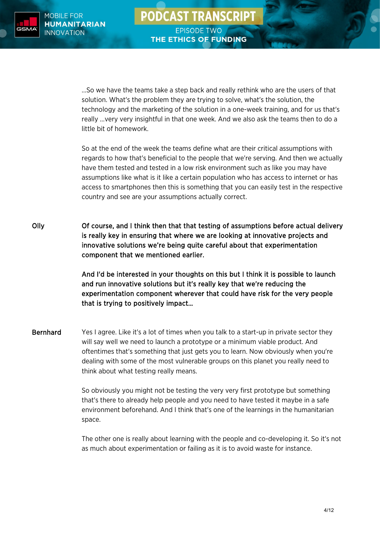…So we have the teams take a step back and really rethink who are the users of that solution. What's the problem they are trying to solve, what's the solution, the technology and the marketing of the solution in a one-week training, and for us that's really …very very insightful in that one week. And we also ask the teams then to do a little bit of homework.

**PODCAST TRANSCRIPT** 

**EPISODE TWO** 

THE ETHICS OF FUNDING

So at the end of the week the teams define what are their critical assumptions with regards to how that's beneficial to the people that we're serving. And then we actually have them tested and tested in a low risk environment such as like you may have assumptions like what is it like a certain population who has access to internet or has access to smartphones then this is something that you can easily test in the respective country and see are your assumptions actually correct.

Olly Of course, and I think then that that testing of assumptions before actual delivery is really key in ensuring that where we are looking at innovative projects and innovative solutions we're being quite careful about that experimentation component that we mentioned earlier.

> And I'd be interested in your thoughts on this but I think it is possible to launch and run innovative solutions but it's really key that we're reducing the experimentation component wherever that could have risk for the very people that is trying to positively impact…

Bernhard Yes I agree. Like it's a lot of times when you talk to a start-up in private sector they will say well we need to launch a prototype or a minimum viable product. And oftentimes that's something that just gets you to learn. Now obviously when you're dealing with some of the most vulnerable groups on this planet you really need to think about what testing really means.

> So obviously you might not be testing the very very first prototype but something that's there to already help people and you need to have tested it maybe in a safe environment beforehand. And I think that's one of the learnings in the humanitarian space.

The other one is really about learning with the people and co-developing it. So it's not as much about experimentation or failing as it is to avoid waste for instance.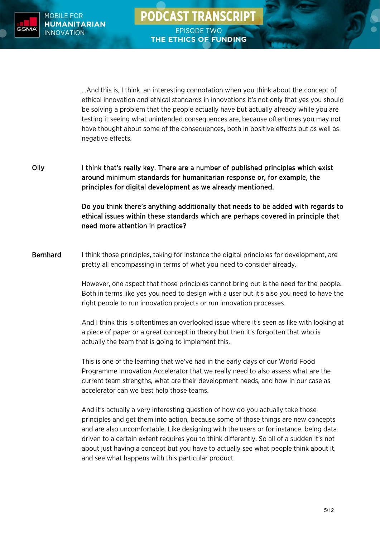

**EPISODE TWO** THE ETHICS OF FUNDING

…And this is, I think, an interesting connotation when you think about the concept of ethical innovation and ethical standards in innovations it's not only that yes you should be solving a problem that the people actually have but actually already while you are testing it seeing what unintended consequences are, because oftentimes you may not have thought about some of the consequences, both in positive effects but as well as negative effects.

Olly I think that's really key. There are a number of published principles which exist around minimum standards for humanitarian response or, for example, the principles for digital development as we already mentioned.

> Do you think there's anything additionally that needs to be added with regards to ethical issues within these standards which are perhaps covered in principle that need more attention in practice?

Bernhard I think those principles, taking for instance the digital principles for development, are pretty all encompassing in terms of what you need to consider already.

> However, one aspect that those principles cannot bring out is the need for the people. Both in terms like yes you need to design with a user but it's also you need to have the right people to run innovation projects or run innovation processes.

> And I think this is oftentimes an overlooked issue where it's seen as like with looking at a piece of paper or a great concept in theory but then it's forgotten that who is actually the team that is going to implement this.

This is one of the learning that we've had in the early days of our World Food Programme Innovation Accelerator that we really need to also assess what are the current team strengths, what are their development needs, and how in our case as accelerator can we best help those teams.

And it's actually a very interesting question of how do you actually take those principles and get them into action, because some of those things are new concepts and are also uncomfortable. Like designing with the users or for instance, being data driven to a certain extent requires you to think differently. So all of a sudden it's not about just having a concept but you have to actually see what people think about it, and see what happens with this particular product.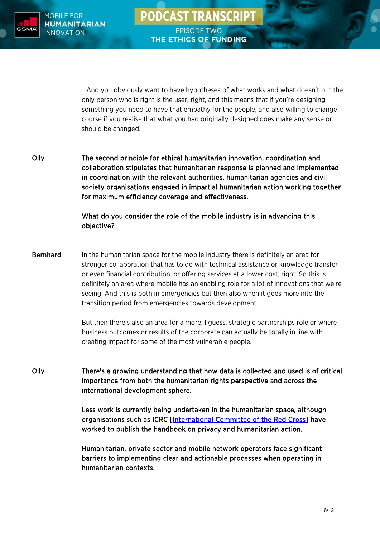

THE ETHICS OF FUNDING

…And you obviously want to have hypotheses of what works and what doesn't but the only person who is right is the user, right, and this means that if you're designing something you need to have that empathy for the people, and also willing to change course if you realise that what you had originally designed does make any sense or should be changed.

Olly The second principle for ethical humanitarian innovation, coordination and collaboration stipulates that humanitarian response is planned and implemented in coordination with the relevant authorities, humanitarian agencies and civil society organisations engaged in impartial humanitarian action working together for maximum efficiency coverage and effectiveness.

> What do you consider the role of the mobile industry is in advancing this objective?

Bernhard In the humanitarian space for the mobile industry there is definitely an area for stronger collaboration that has to do with technical assistance or knowledge transfer or even financial contribution, or offering services at a lower cost, right. So this is definitely an area where mobile has an enabling role for a lot of innovations that we're seeing. And this is both in emergencies but then also when it goes more into the transition period from emergencies towards development.

> But then there's also an area for a more, I guess, strategic partnerships role or where business outcomes or results of the corporate can actually be totally in line with creating impact for some of the most vulnerable people.

Olly There's a growing understanding that how data is collected and used is of critical importance from both the humanitarian rights perspective and across the international development sphere.

> Less work is currently being undertaken in the humanitarian space, although organisations such as ICRC [\[International Committee of the Red Cross\]](https://www.icrc.org/en) have worked to publish the handbook on privacy and humanitarian action.

Humanitarian, private sector and mobile network operators face significant barriers to implementing clear and actionable processes when operating in humanitarian contexts.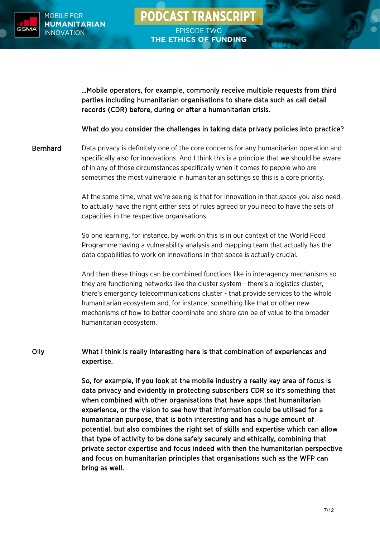

**EPISODE TWO** THE ETHICS OF FUNDING

…Mobile operators, for example, commonly receive multiple requests from third parties including humanitarian organisations to share data such as call detail records (CDR) before, during or after a humanitarian crisis.

What do you consider the challenges in taking data privacy policies into practice?

Bernhard Data privacy is definitely one of the core concerns for any humanitarian operation and specifically also for innovations. And I think this is a principle that we should be aware of in any of those circumstances specifically when it comes to people who are sometimes the most vulnerable in humanitarian settings so this is a core priority.

> At the same time, what we're seeing is that for innovation in that space you also need to actually have the right either sets of rules agreed or you need to have the sets of capacities in the respective organisations.

So one learning, for instance, by work on this is in our context of the World Food Programme having a vulnerability analysis and mapping team that actually has the data capabilities to work on innovations in that space is actually crucial.

And then these things can be combined functions like in interagency mechanisms so they are functioning networks like the cluster system - there's a logistics cluster, there's emergency telecommunications cluster - that provide services to the whole humanitarian ecosystem and, for instance, something like that or other new mechanisms of how to better coordinate and share can be of value to the broader humanitarian ecosystem.

## Olly What I think is really interesting here is that combination of experiences and expertise.

So, for example, if you look at the mobile industry a really key area of focus is data privacy and evidently in protecting subscribers CDR so it's something that when combined with other organisations that have apps that humanitarian experience, or the vision to see how that information could be utilised for a humanitarian purpose, that is both interesting and has a huge amount of potential, but also combines the right set of skills and expertise which can allow that type of activity to be done safely securely and ethically, combining that private sector expertise and focus indeed with then the humanitarian perspective and focus on humanitarian principles that organisations such as the WFP can bring as well.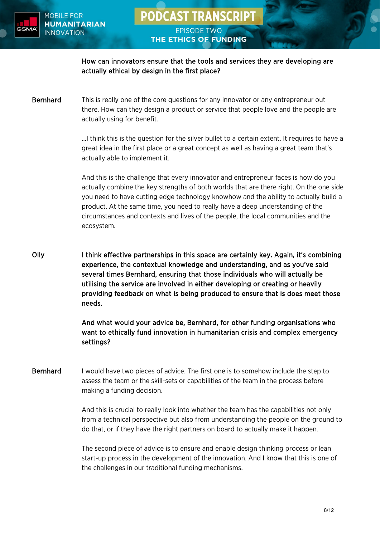

## **EPISODE TWO** THE ETHICS OF FUNDING

How can innovators ensure that the tools and services they are developing are actually ethical by design in the first place?

Bernhard This is really one of the core questions for any innovator or any entrepreneur out there. How can they design a product or service that people love and the people are actually using for benefit.

> …I think this is the question for the silver bullet to a certain extent. It requires to have a great idea in the first place or a great concept as well as having a great team that's actually able to implement it.

> And this is the challenge that every innovator and entrepreneur faces is how do you actually combine the key strengths of both worlds that are there right. On the one side you need to have cutting edge technology knowhow and the ability to actually build a product. At the same time, you need to really have a deep understanding of the circumstances and contexts and lives of the people, the local communities and the ecosystem.

Olly I think effective partnerships in this space are certainly key. Again, it's combining experience, the contextual knowledge and understanding, and as you've said several times Bernhard, ensuring that those individuals who will actually be utilising the service are involved in either developing or creating or heavily providing feedback on what is being produced to ensure that is does meet those needs.

> And what would your advice be, Bernhard, for other funding organisations who want to ethically fund innovation in humanitarian crisis and complex emergency settings?

Bernhard I would have two pieces of advice. The first one is to somehow include the step to assess the team or the skill-sets or capabilities of the team in the process before making a funding decision.

> And this is crucial to really look into whether the team has the capabilities not only from a technical perspective but also from understanding the people on the ground to do that, or if they have the right partners on board to actually make it happen.

 The second piece of advice is to ensure and enable design thinking process or lean start-up process in the development of the innovation. And I know that this is one of the challenges in our traditional funding mechanisms.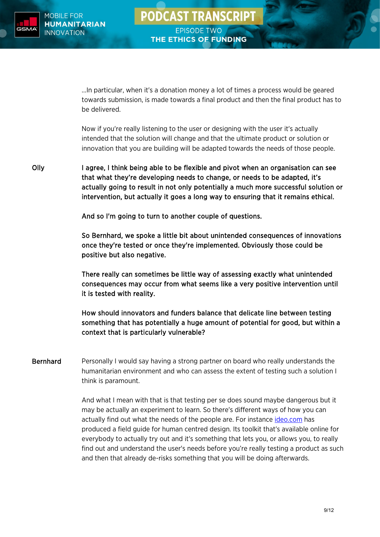

…In particular, when it's a donation money a lot of times a process would be geared towards submission, is made towards a final product and then the final product has to be delivered.

Now if you're really listening to the user or designing with the user it's actually intended that the solution will change and that the ultimate product or solution or innovation that you are building will be adapted towards the needs of those people.

Olly I agree, I think being able to be flexible and pivot when an organisation can see that what they're developing needs to change, or needs to be adapted, it's actually going to result in not only potentially a much more successful solution or intervention, but actually it goes a long way to ensuring that it remains ethical.

And so I'm going to turn to another couple of questions.

So Bernhard, we spoke a little bit about unintended consequences of innovations once they're tested or once they're implemented. Obviously those could be positive but also negative.

There really can sometimes be little way of assessing exactly what unintended consequences may occur from what seems like a very positive intervention until it is tested with reality.

How should innovators and funders balance that delicate line between testing something that has potentially a huge amount of potential for good, but within a context that is particularly vulnerable?

Bernhard Personally I would say having a strong partner on board who really understands the humanitarian environment and who can assess the extent of testing such a solution I think is paramount.

> And what I mean with that is that testing per se does sound maybe dangerous but it may be actually an experiment to learn. So there's different ways of how you can actually find out what the needs of the people are. For instance [ideo.com](https://www.ideo.com/post/design-kit) has produced a field guide for human centred design. Its toolkit that's available online for everybody to actually try out and it's something that lets you, or allows you, to really find out and understand the user's needs before you're really testing a product as such and then that already de-risks something that you will be doing afterwards.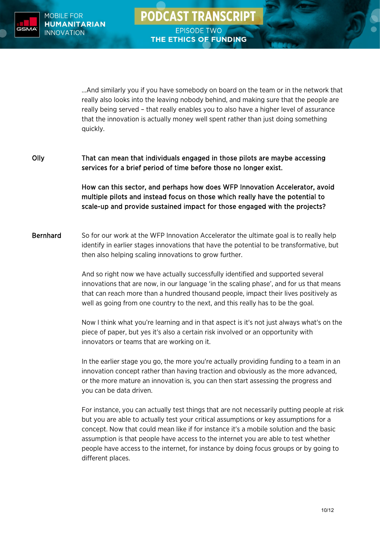…And similarly you if you have somebody on board on the team or in the network that really also looks into the leaving nobody behind, and making sure that the people are really being served – that really enables you to also have a higher level of assurance that the innovation is actually money well spent rather than just doing something quickly.

Olly That can mean that individuals engaged in those pilots are maybe accessing services for a brief period of time before those no longer exist.

> How can this sector, and perhaps how does WFP Innovation Accelerator, avoid multiple pilots and instead focus on those which really have the potential to scale-up and provide sustained impact for those engaged with the projects?

Bernhard So for our work at the WFP Innovation Accelerator the ultimate goal is to really help identify in earlier stages innovations that have the potential to be transformative, but then also helping scaling innovations to grow further.

> And so right now we have actually successfully identified and supported several innovations that are now, in our language 'in the scaling phase', and for us that means that can reach more than a hundred thousand people, impact their lives positively as well as going from one country to the next, and this really has to be the goal.

> Now I think what you're learning and in that aspect is it's not just always what's on the piece of paper, but yes it's also a certain risk involved or an opportunity with innovators or teams that are working on it.

> In the earlier stage you go, the more you're actually providing funding to a team in an innovation concept rather than having traction and obviously as the more advanced, or the more mature an innovation is, you can then start assessing the progress and you can be data driven.

For instance, you can actually test things that are not necessarily putting people at risk but you are able to actually test your critical assumptions or key assumptions for a concept. Now that could mean like if for instance it's a mobile solution and the basic assumption is that people have access to the internet you are able to test whether people have access to the internet, for instance by doing focus groups or by going to different places.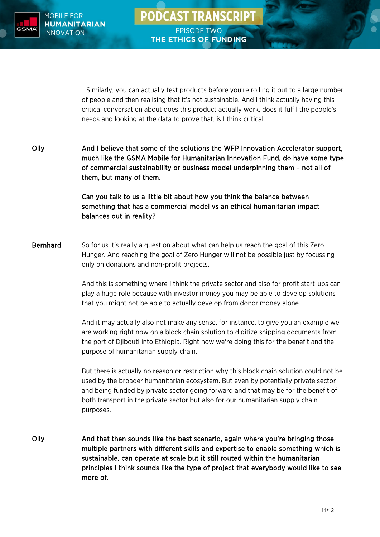

 …Similarly, you can actually test products before you're rolling it out to a large number of people and then realising that it's not sustainable. And I think actually having this critical conversation about does this product actually work, does it fulfil the people's needs and looking at the data to prove that, is I think critical.

**PODCAST TRANSCRIPT** 

**EPISODE TWO** 

THE ETHICS OF FUNDING

Olly And I believe that some of the solutions the WFP Innovation Accelerator support, much like the GSMA Mobile for Humanitarian Innovation Fund, do have some type of commercial sustainability or business model underpinning them – not all of them, but many of them.

> Can you talk to us a little bit about how you think the balance between something that has a commercial model vs an ethical humanitarian impact balances out in reality?

Bernhard So for us it's really a question about what can help us reach the goal of this Zero Hunger. And reaching the goal of Zero Hunger will not be possible just by focussing only on donations and non-profit projects.

> And this is something where I think the private sector and also for profit start-ups can play a huge role because with investor money you may be able to develop solutions that you might not be able to actually develop from donor money alone.

> And it may actually also not make any sense, for instance, to give you an example we are working right now on a block chain solution to digitize shipping documents from the port of Djibouti into Ethiopia. Right now we're doing this for the benefit and the purpose of humanitarian supply chain.

But there is actually no reason or restriction why this block chain solution could not be used by the broader humanitarian ecosystem. But even by potentially private sector and being funded by private sector going forward and that may be for the benefit of both transport in the private sector but also for our humanitarian supply chain purposes.

Olly And that then sounds like the best scenario, again where you're bringing those multiple partners with different skills and expertise to enable something which is sustainable, can operate at scale but it still routed within the humanitarian principles I think sounds like the type of project that everybody would like to see more of.